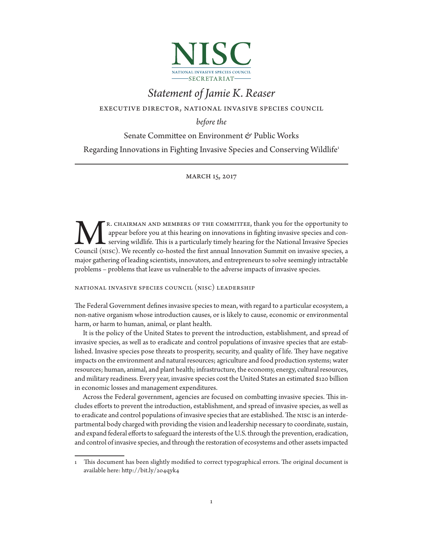

# *Statement of Jamie K. Reaser*

executive director, national invasive species council

*before the* 

Senate Committee on Environment & Public Works

Regarding Innovations in Fighting Invasive Species and Conserving Wildlife1

### march 15, 2017

r. chairman and members of the committee, thank you for the opportunity to appear before you at this hearing on innovations in fighting invasive species and conserving wildlife. This is a particularly timely hearing for the National Invasive Species R. CHAIRMAN AND MEMBERS OF THE COMMITTEE, thank you for the opportunity to appear before you at this hearing on innovations in fighting invasive species and conserving wildlife. This is a particularly timely hearing for th major gathering of leading scientists, innovators, and entrepreneurs to solve seemingly intractable problems – problems that leave us vulnerable to the adverse impacts of invasive species.

national invasive species council (nisc) leadership

The Federal Government defines invasive species to mean, with regard to a particular ecosystem, a non-native organism whose introduction causes, or is likely to cause, economic or environmental harm, or harm to human, animal, or plant health.

It is the policy of the United States to prevent the introduction, establishment, and spread of invasive species, as well as to eradicate and control populations of invasive species that are established. Invasive species pose threats to prosperity, security, and quality of life. They have negative impacts on the environment and natural resources; agriculture and food production systems; water resources; human, animal, and plant health; infrastructure, the economy, energy, cultural resources, and military readiness. Every year, invasive species cost the United States an estimated \$120 billion in economic losses and management expenditures.

Across the Federal government, agencies are focused on combatting invasive species. This includes efforts to prevent the introduction, establishment, and spread of invasive species, as well as to eradicate and control populations of invasive species that are established. The nisc is an interdepartmental body charged with providing the vision and leadership necessary to coordinate, sustain, and expand federal efforts to safeguard the interests of the U.S. through the prevention, eradication, and control of invasive species, and through the restoration of ecosystems and other assets impacted

<sup>1</sup> This document has been slightly modified to correct typographical errors. The original document is available here: http://bit.ly/2o4qyk4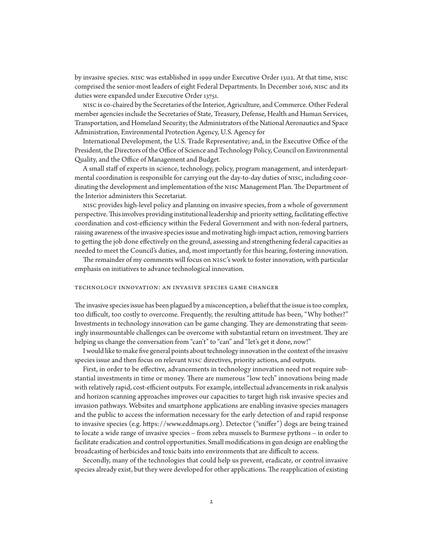by invasive species. nisc was established in 1999 under Executive Order 13112. At that time, nisc comprised the senior-most leaders of eight Federal Departments. In December 2016, nisc and its duties were expanded under Executive Order 13751.

nisc is co-chaired by the Secretaries of the Interior, Agriculture, and Commerce. Other Federal member agencies include the Secretaries of State, Treasury, Defense, Health and Human Services, Transportation, and Homeland Security; the Administrators of the National Aeronautics and Space Administration, Environmental Protection Agency, U.S. Agency for

International Development, the U.S. Trade Representative; and, in the Executive Office of the President, the Directors of the Office of Science and Technology Policy, Council on Environmental Quality, and the Office of Management and Budget.

A small staff of experts in science, technology, policy, program management, and interdepartmental coordination is responsible for carrying out the day-to-day duties of nisc, including coordinating the development and implementation of the nisc Management Plan. The Department of the Interior administers this Secretariat.

nisc provides high-level policy and planning on invasive species, from a whole of government perspective. This involves providing institutional leadership and priority setting, facilitating effective coordination and cost-efficiency within the Federal Government and with non-federal partners, raising awareness of the invasive species issue and motivating high-impact action, removing barriers to getting the job done effectively on the ground, assessing and strengthening federal capacities as needed to meet the Council's duties, and, most importantly for this hearing, fostering innovation.

The remainder of my comments will focus on nisc's work to foster innovation, with particular emphasis on initiatives to advance technological innovation.

#### technology innovation: an invasive species game changer

The invasive species issue has been plagued by a misconception, a belief that the issue is too complex, too difficult, too costly to overcome. Frequently, the resulting attitude has been, "Why bother?" Investments in technology innovation can be game changing. They are demonstrating that seemingly insurmountable challenges can be overcome with substantial return on investment. They are helping us change the conversation from "can't" to "can" and "let's get it done, now!"

I would like to make five general points about technology innovation in the context of the invasive species issue and then focus on relevant nisc directives, priority actions, and outputs.

First, in order to be effective, advancements in technology innovation need not require substantial investments in time or money. There are numerous "low tech" innovations being made with relatively rapid, cost-efficient outputs. For example, intellectual advancements in risk analysis and horizon scanning approaches improves our capacities to target high risk invasive species and invasion pathways. Websites and smartphone applications are enabling invasive species managers and the public to access the information necessary for the early detection of and rapid response to invasive species (e.g. https://www.eddmaps.org). Detector ("sniffer") dogs are being trained to locate a wide range of invasive species – from zebra mussels to Burmese pythons – in order to facilitate eradication and control opportunities. Small modifications in gun design are enabling the broadcasting of herbicides and toxic baits into environments that are difficult to access.

Secondly, many of the technologies that could help us prevent, eradicate, or control invasive species already exist, but they were developed for other applications. The reapplication of existing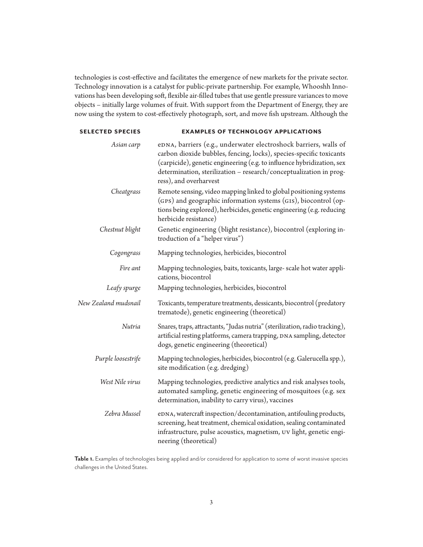technologies is cost-effective and facilitates the emergence of new markets for the private sector. Technology innovation is a catalyst for public-private partnership. For example, Whooshh Innovations has been developing soft, flexible air-filled tubes that use gentle pressure variances to move objects – initially large volumes of fruit. With support from the Department of Energy, they are now using the system to cost-effectively photograph, sort, and move fish upstream. Although the

| <b>SELECTED SPECIES</b> | <b>EXAMPLES OF TECHNOLOGY APPLICATIONS</b>                                                                                                                                                                                                                                                                        |
|-------------------------|-------------------------------------------------------------------------------------------------------------------------------------------------------------------------------------------------------------------------------------------------------------------------------------------------------------------|
| Asian carp              | eDNA, barriers (e.g., underwater electroshock barriers, walls of<br>carbon dioxide bubbles, fencing, locks), species-specific toxicants<br>(carpicide), genetic engineering (e.g. to influence hybridization, sex<br>determination, sterilization - research/conceptualization in prog-<br>ress), and overharvest |
| Cheatgrass              | Remote sensing, video mapping linked to global positioning systems<br>(GPS) and geographic information systems (GIS), biocontrol (op-<br>tions being explored), herbicides, genetic engineering (e.g. reducing<br>herbicide resistance)                                                                           |
| Chestnut blight         | Genetic engineering (blight resistance), biocontrol (exploring in-<br>troduction of a "helper virus")                                                                                                                                                                                                             |
| Cogongrass              | Mapping technologies, herbicides, biocontrol                                                                                                                                                                                                                                                                      |
| Fire ant                | Mapping technologies, baits, toxicants, large- scale hot water appli-<br>cations, biocontrol                                                                                                                                                                                                                      |
| Leafy spurge            | Mapping technologies, herbicides, biocontrol                                                                                                                                                                                                                                                                      |
| New Zealand mudsnail    | Toxicants, temperature treatments, dessicants, biocontrol (predatory<br>trematode), genetic engineering (theoretical)                                                                                                                                                                                             |
| Nutria                  | Snares, traps, attractants, "Judas nutria" (sterilization, radio tracking),<br>artificial resting platforms, camera trapping, DNA sampling, detector<br>dogs, genetic engineering (theoretical)                                                                                                                   |
| Purple loosestrife      | Mapping technologies, herbicides, biocontrol (e.g. Galerucella spp.),<br>site modification (e.g. dredging)                                                                                                                                                                                                        |
| West Nile virus         | Mapping technologies, predictive analytics and risk analyses tools,<br>automated sampling, genetic engineering of mosquitoes (e.g. sex<br>determination, inability to carry virus), vaccines                                                                                                                      |
| Zebra Mussel            | eDNA, watercraft inspection/decontamination, antifouling products,<br>screening, heat treatment, chemical oxidation, sealing contaminated<br>infrastructure, pulse acoustics, magnetism, UV light, genetic engi-<br>neering (theoretical)                                                                         |

**Table 1.** Examples of technologies being applied and/or considered for application to some of worst invasive species challenges in the United States.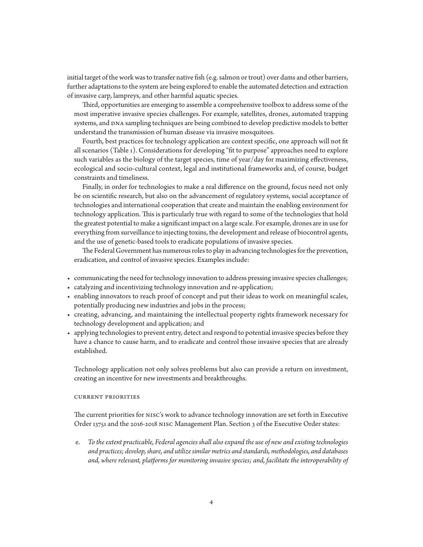initial target of the work was to transfer native fish (e.g. salmon or trout) over dams and other barriers, further adaptations to the system are being explored to enable the automated detection and extraction of invasive carp, lampreys, and other harmful aquatic species.

Third, opportunities are emerging to assemble a comprehensive toolbox to address some of the most imperative invasive species challenges. For example, satellites, drones, automated trapping systems, and DNA sampling techniques are being combined to develop predictive models to better understand the transmission of human disease via invasive mosquitoes.

Fourth, best practices for technology application are context specific, one approach will not fit all scenarios (Table 1). Considerations for developing "fit to purpose" approaches need to explore such variables as the biology of the target species, time of year/day for maximizing effectiveness, ecological and socio-cultural context, legal and institutional frameworks and, of course, budget constraints and timeliness.

Finally, in order for technologies to make a real difference on the ground, focus need not only be on scientific research, but also on the advancement of regulatory systems, social acceptance of technologies and international cooperation that create and maintain the enabling environment for technology application. This is particularly true with regard to some of the technologies that hold the greatest potential to make a significant impact on a large scale. For example, drones are in use for everything from surveillance to injecting toxins, the development and release of biocontrol agents, and the use of genetic-based tools to eradicate populations of invasive species.

The Federal Government has numerous roles to play in advancing technologies for the prevention, eradication, and control of invasive species. Examples include:

- communicating the need for technology innovation to address pressing invasive species challenges;
- catalyzing and incentivizing technology innovation and re-application;
- enabling innovators to reach proof of concept and put their ideas to work on meaningful scales, potentially producing new industries and jobs in the process;
- creating, advancing, and maintaining the intellectual property rights framework necessary for technology development and application; and
- applying technologies to prevent entry, detect and respond to potential invasive species before they have a chance to cause harm, and to eradicate and control those invasive species that are already established.

Technology application not only solves problems but also can provide a return on investment, creating an incentive for new investments and breakthroughs.

#### current priorities

The current priorities for nisc's work to advance technology innovation are set forth in Executive Order 13751 and the 2016-2018 nisc Management Plan. Section 3 of the Executive Order states:

e. *To the extent practicable, Federal agencies shall also expand the use of new and existing technologies and practices; develop, share, and utilize similar metrics and standards, methodologies, and databases and, where relevant, platforms for monitoring invasive species; and, facilitate the interoperability of*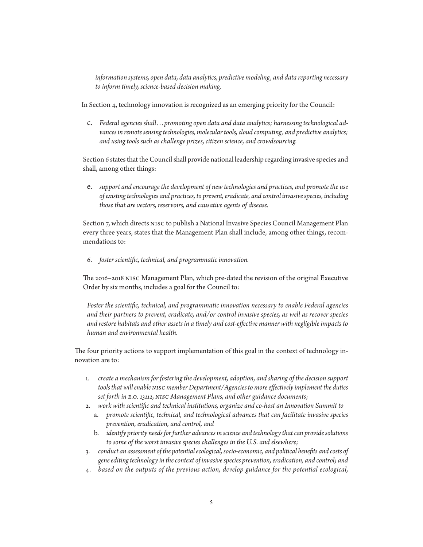*information systems, open data, data analytics, predictive modeling, and data reporting necessary to inform timely, science-based decision making.*

In Section 4, technology innovation is recognized as an emerging priority for the Council:

c. *Federal agencies shall . . . promoting open data and data analytics; harnessing technological advances in remote sensing technologies, molecular tools, cloud computing, and predictive analytics; and using tools such as challenge prizes, citizen science, and crowdsourcing.*

Section 6 states that the Council shall provide national leadership regarding invasive species and shall, among other things:

e. *support and encourage the development of new technologies and practices, and promote the use of existing technologies and practices, to prevent, eradicate, and control invasive species, including those that are vectors, reservoirs, and causative agents of disease.*

Section 7, which directs nisc to publish a National Invasive Species Council Management Plan every three years, states that the Management Plan shall include, among other things, recommendations to:

6. *foster scientific, technical, and programmatic innovation.*

The 2016–2018 nisc Management Plan, which pre-dated the revision of the original Executive Order by six months, includes a goal for the Council to:

*Foster the scientific, technical, and programmatic innovation necessary to enable Federal agencies and their partners to prevent, eradicate, and/or control invasive species, as well as recover species and restore habitats and other assets in a timely and cost-effective manner with negligible impacts to human and environmental health.*

The four priority actions to support implementation of this goal in the context of technology innovation are to:

- 1. *create a mechanism for fostering the development, adoption, and sharing of the decision support tools that will enable nisc member Department/Agencies to more effectively implement the duties set forth in e.o. 13112, nisc Management Plans, and other guidance documents;*
- 2. *work with scientific and technical institutions, organize and co-host an Innovation Summit to*
	- a. *promote scientific, technical, and technological advances that can facilitate invasive species prevention, eradication, and control, and*
	- b. *identify priority needs for further advances in science and technology that can provide solutions to some of the worst invasive species challenges in the U.S. and elsewhere;*
- 3. *conduct an assessment of the potential ecological, socio-economic, and political benefits and costs of gene editing technology in the context of invasive species prevention, eradication, and control; and*
- 4. *based on the outputs of the previous action, develop guidance for the potential ecological,*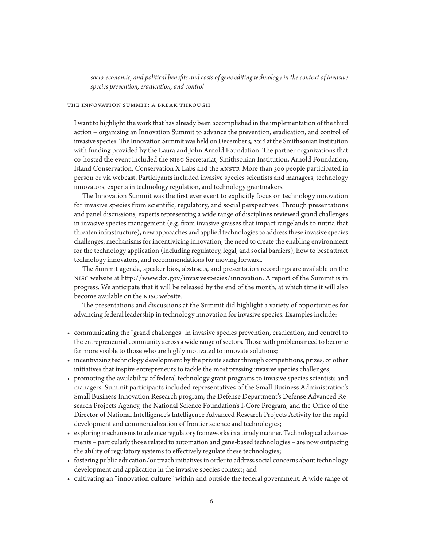*socio-economic, and political benefits and costs of gene editing technology in the context of invasive species prevention, eradication, and control*

#### the innovation summit: a break through

I want to highlight the work that has already been accomplished in the implementation of the third action – organizing an Innovation Summit to advance the prevention, eradication, and control of invasive species. The Innovation Summit was held on December 5, 2016 at the Smithsonian Institution with funding provided by the Laura and John Arnold Foundation. The partner organizations that co-hosted the event included the nisc Secretariat, Smithsonian Institution, Arnold Foundation, Island Conservation, Conservation X Labs and the ANSTF. More than 300 people participated in person or via webcast. Participants included invasive species scientists and managers, technology innovators, experts in technology regulation, and technology grantmakers.

The Innovation Summit was the first ever event to explicitly focus on technology innovation for invasive species from scientific, regulatory, and social perspectives. Through presentations and panel discussions, experts representing a wide range of disciplines reviewed grand challenges in invasive species management (e.g. from invasive grasses that impact rangelands to nutria that threaten infrastructure), new approaches and applied technologies to address these invasive species challenges, mechanisms for incentivizing innovation, the need to create the enabling environment for the technology application (including regulatory, legal, and social barriers), how to best attract technology innovators, and recommendations for moving forward.

The Summit agenda, speaker bios, abstracts, and presentation recordings are available on the nisc website at http://www.doi.gov/invasivespecies/innovation. A report of the Summit is in progress. We anticipate that it will be released by the end of the month, at which time it will also become available on the nisc website.

The presentations and discussions at the Summit did highlight a variety of opportunities for advancing federal leadership in technology innovation for invasive species. Examples include:

- communicating the "grand challenges" in invasive species prevention, eradication, and control to the entrepreneurial community across a wide range of sectors. Those with problems need to become far more visible to those who are highly motivated to innovate solutions;
- incentivizing technology development by the private sector through competitions, prizes, or other initiatives that inspire entrepreneurs to tackle the most pressing invasive species challenges;
- promoting the availability of federal technology grant programs to invasive species scientists and managers. Summit participants included representatives of the Small Business Administration's Small Business Innovation Research program, the Defense Department's Defense Advanced Research Projects Agency, the National Science Foundation's I-Core Program, and the Office of the Director of National Intelligence's Intelligence Advanced Research Projects Activity for the rapid development and commercialization of frontier science and technologies;
- exploring mechanisms to advance regulatory frameworks in a timely manner. Technological advancements – particularly those related to automation and gene-based technologies – are now outpacing the ability of regulatory systems to effectively regulate these technologies;
- fostering public education/outreach initiatives in order to address social concerns about technology development and application in the invasive species context; and
- cultivating an "innovation culture" within and outside the federal government. A wide range of